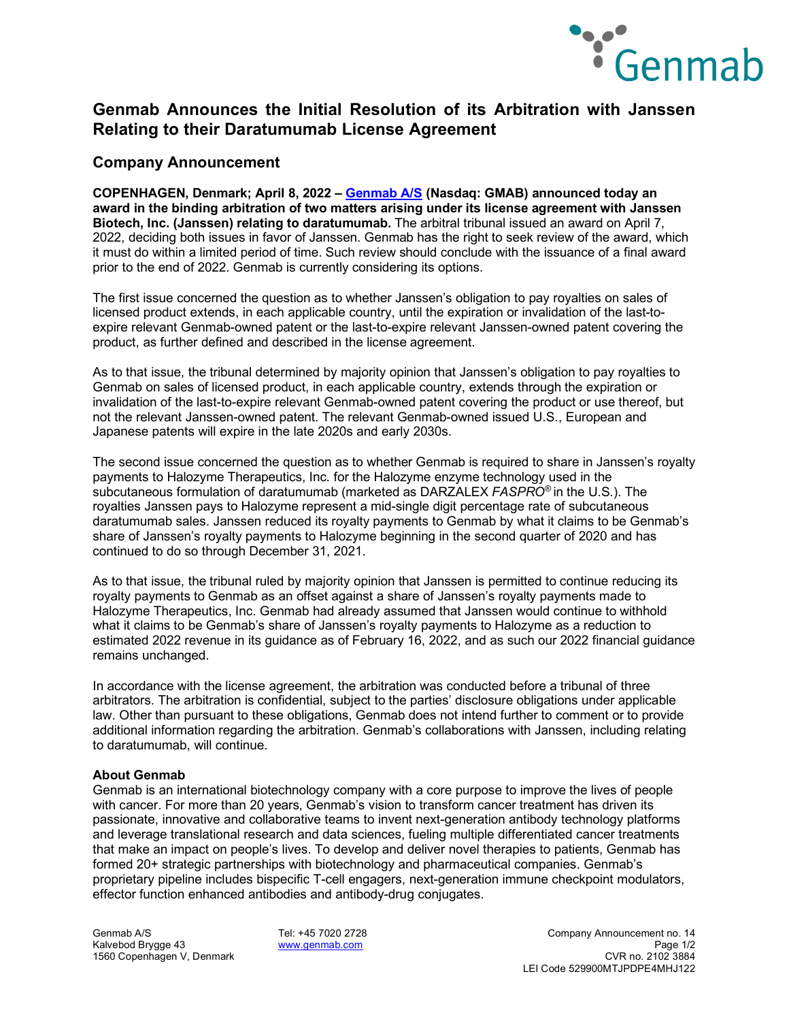

# **Genmab Announces the Initial Resolution of its Arbitration with Janssen Relating to their Daratumumab License Agreement**

### **Company Announcement**

**COPENHAGEN, Denmark; April 8, 2022 – [Genmab A/S](https://www.genmab.com/) (Nasdaq: GMAB) announced today an award in the binding arbitration of two matters arising under its license agreement with Janssen Biotech, Inc. (Janssen) relating to daratumumab.** The arbitral tribunal issued an award on April 7, 2022, deciding both issues in favor of Janssen. Genmab has the right to seek review of the award, which it must do within a limited period of time. Such review should conclude with the issuance of a final award prior to the end of 2022. Genmab is currently considering its options.

The first issue concerned the question as to whether Janssen's obligation to pay royalties on sales of licensed product extends, in each applicable country, until the expiration or invalidation of the last-toexpire relevant Genmab-owned patent or the last-to-expire relevant Janssen-owned patent covering the product, as further defined and described in the license agreement.

As to that issue, the tribunal determined by majority opinion that Janssen's obligation to pay royalties to Genmab on sales of licensed product, in each applicable country, extends through the expiration or invalidation of the last-to-expire relevant Genmab-owned patent covering the product or use thereof, but not the relevant Janssen-owned patent. The relevant Genmab-owned issued U.S., European and Japanese patents will expire in the late 2020s and early 2030s.

The second issue concerned the question as to whether Genmab is required to share in Janssen's royalty payments to Halozyme Therapeutics, Inc. for the Halozyme enzyme technology used in the subcutaneous formulation of daratumumab (marketed as DARZALEX *FASPRO®* in the U.S.). The royalties Janssen pays to Halozyme represent a mid-single digit percentage rate of subcutaneous daratumumab sales. Janssen reduced its royalty payments to Genmab by what it claims to be Genmab's share of Janssen's royalty payments to Halozyme beginning in the second quarter of 2020 and has continued to do so through December 31, 2021.

As to that issue, the tribunal ruled by majority opinion that Janssen is permitted to continue reducing its royalty payments to Genmab as an offset against a share of Janssen's royalty payments made to Halozyme Therapeutics, Inc. Genmab had already assumed that Janssen would continue to withhold what it claims to be Genmab's share of Janssen's royalty payments to Halozyme as a reduction to estimated 2022 revenue in its guidance as of February 16, 2022, and as such our 2022 financial guidance remains unchanged.

In accordance with the license agreement, the arbitration was conducted before a tribunal of three arbitrators. The arbitration is confidential, subject to the parties' disclosure obligations under applicable law. Other than pursuant to these obligations, Genmab does not intend further to comment or to provide additional information regarding the arbitration. Genmab's collaborations with Janssen, including relating to daratumumab, will continue.

#### **About Genmab**

Genmab is an international biotechnology company with a core purpose to improve the lives of people with cancer. For more than 20 years, Genmab's vision to transform cancer treatment has driven its passionate, innovative and collaborative teams to invent next-generation antibody technology platforms and leverage translational research and data sciences, fueling multiple differentiated cancer treatments that make an impact on people's lives. To develop and deliver novel therapies to patients, Genmab has formed 20+ strategic partnerships with biotechnology and pharmaceutical companies. Genmab's proprietary pipeline includes bispecific T-cell engagers, next-generation immune checkpoint modulators, effector function enhanced antibodies and antibody-drug conjugates.

1560 Copenhagen V, Denmark

Genmab A/S Tel: +45 7020 2728 Company Announcement no. 14 Kalvebod Brygge 43 **[www.genmab.com](http://www.genmab.com/) Page 1/2** Page 1/2<br>1560 Copenhagen V. Denmark **www.genmab.com Page 1/2** Page 1/2 Page 1/2 Page 1/2 Page 1/2 Page 1/2 Page 1/2 Page 1 LEI Code 529900MTJPDPE4MHJ122